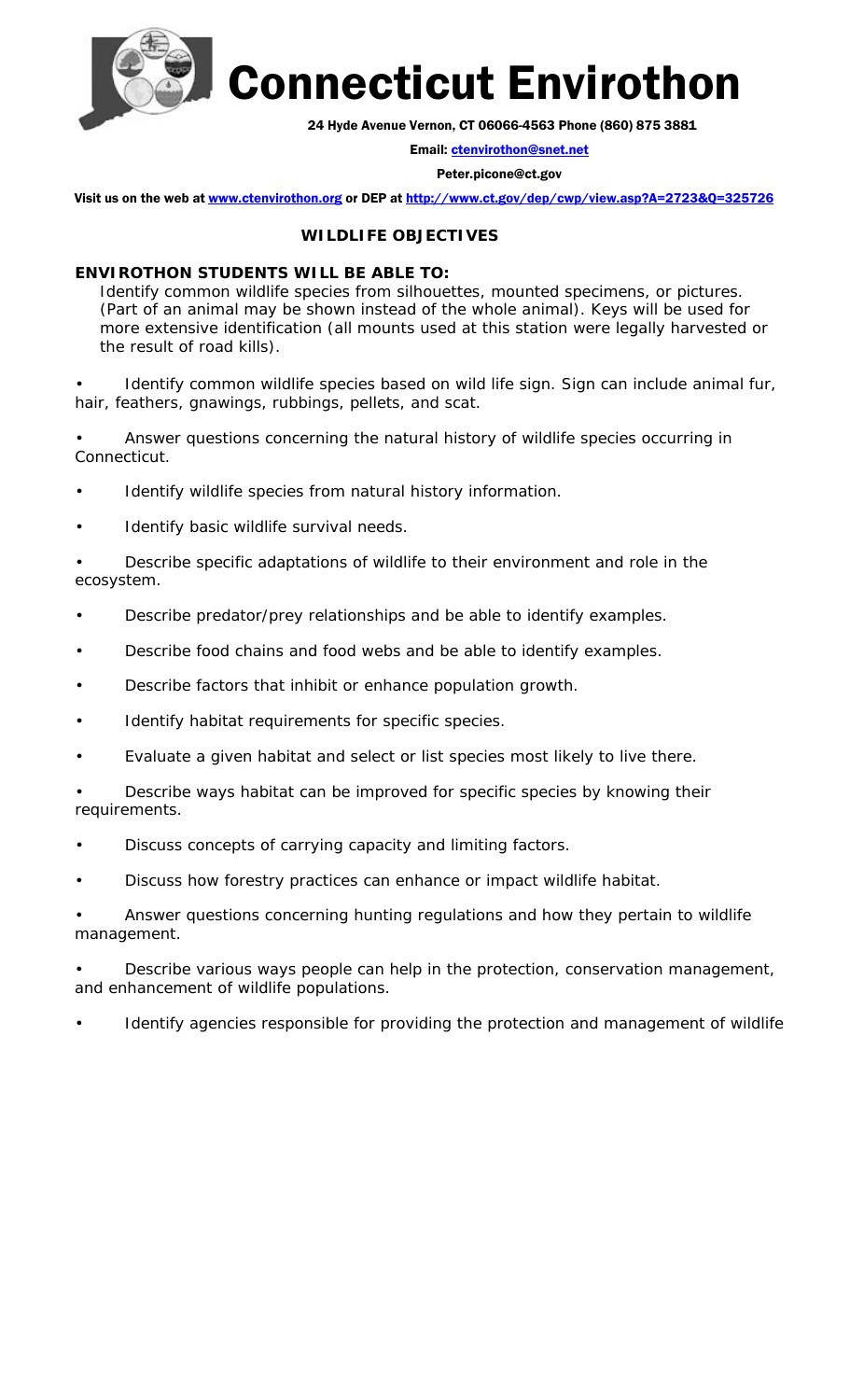

Connecticut Envirothon

24 Hyde Avenue Vernon, CT 06066-4563 Phone (860) 875 3881

Email: ctenvirothon@snet.net

Peter.picone@ct.gov

Visit us on the web at www.ctenvirothon.org or DEP at http://www.ct.gov/dep/cwp/view.asp?A=2723&Q=325726

## **WILDLIFE OBJECTIVES**

## **ENVIROTHON STUDENTS WILL BE ABLE TO:**

Identify common wildlife species from silhouettes, mounted specimens, or pictures. (Part of an animal may be shown instead of the whole animal). Keys will be used for more extensive identification (all mounts used at this station were legally harvested or the result of road kills).

Identify common wildlife species based on wild life sign. Sign can include animal fur, hair, feathers, gnawings, rubbings, pellets, and scat.

• Answer questions concerning the natural history of wildlife species occurring in Connecticut.

- Identify wildlife species from natural history information.
- Identify basic wildlife survival needs.

• Describe specific adaptations of wildlife to their environment and role in the ecosystem.

- Describe predator/prey relationships and be able to identify examples.
- Describe food chains and food webs and be able to identify examples.
- Describe factors that inhibit or enhance population growth.
- Identify habitat requirements for specific species.
- Evaluate a given habitat and select or list species most likely to live there.

• Describe ways habitat can be improved for specific species by knowing their requirements.

- Discuss concepts of carrying capacity and limiting factors.
- Discuss how forestry practices can enhance or impact wildlife habitat.

• Answer questions concerning hunting regulations and how they pertain to wildlife management.

Describe various ways people can help in the protection, conservation management, and enhancement of wildlife populations.

Identify agencies responsible for providing the protection and management of wildlife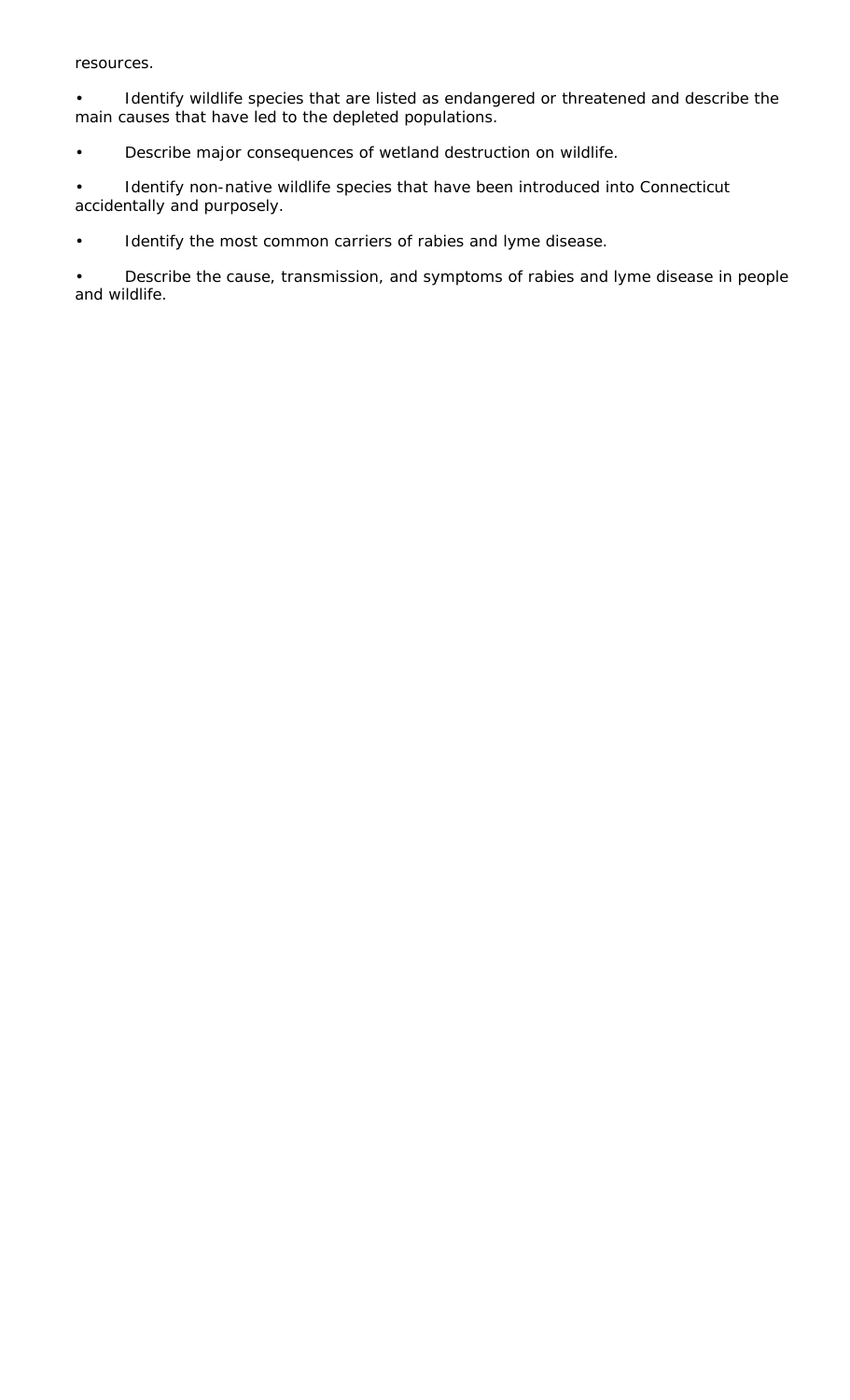resources.

Identify wildlife species that are listed as endangered or threatened and describe the main causes that have led to the depleted populations.

• Describe major consequences of wetland destruction on wildlife.

• Identify non-native wildlife species that have been introduced into Connecticut accidentally and purposely.

• Identify the most common carriers of rabies and lyme disease.

• Describe the cause, transmission, and symptoms of rabies and lyme disease in people and wildlife.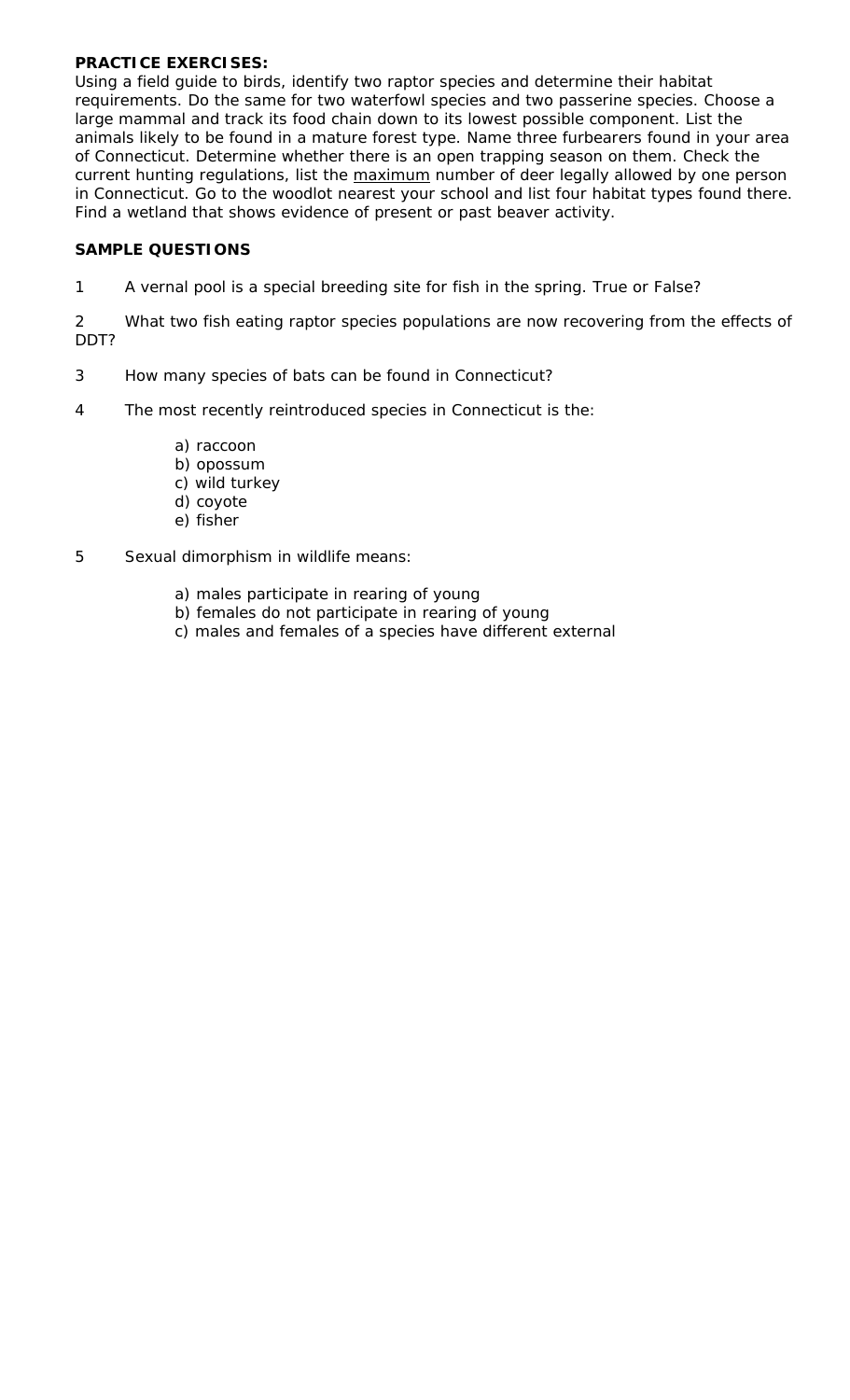## **PRACTICE EXERCISES:**

Using a field guide to birds, identify two raptor species and determine their habitat requirements. Do the same for two waterfowl species and two passerine species. Choose a large mammal and track its food chain down to its lowest possible component. List the animals likely to be found in a mature forest type. Name three furbearers found in your area of Connecticut. Determine whether there is an open trapping season on them. Check the current hunting regulations, list the maximum number of deer legally allowed by one person in Connecticut. Go to the woodlot nearest your school and list four habitat types found there. Find a wetland that shows evidence of present or past beaver activity.

## **SAMPLE QUESTIONS**

1 A vernal pool is a special breeding site for fish in the spring. True or False?

2 What two fish eating raptor species populations are now recovering from the effects of DDT?

- 3 How many species of bats can be found in Connecticut?
- 4 The most recently reintroduced species in Connecticut is the:
	- a) raccoon
	- b) opossum
	- c) wild turkey
	- d) coyote
	- e) fisher
- 5 Sexual dimorphism in wildlife means:
	- a) males participate in rearing of young
	- b) females do not participate in rearing of young
	- c) males and females of a species have different external